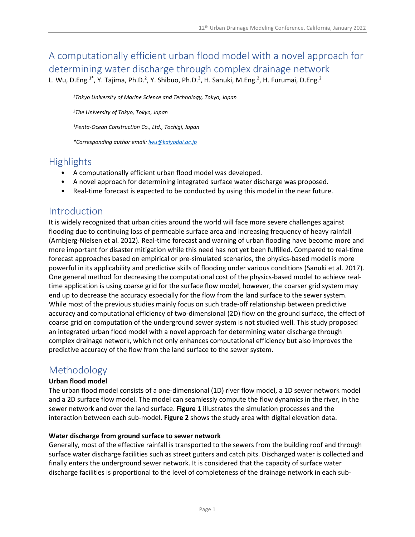# A computationally efficient urban flood model with a novel approach for determining water discharge through complex drainage network

L. Wu, D.Eng.<sup>1\*</sup>, Y. Tajima, Ph.D.<sup>2</sup>, Y. Shibuo, Ph.D.<sup>3</sup>, H. Sanuki, M.Eng.<sup>2</sup>, H. Furumai, D.Eng.<sup>2</sup>

*<sup>1</sup>Tokyo University of Marine Science and Technology, Tokyo, Japan*

*<sup>2</sup>The University of Tokyo, Tokyo, Japan*

*<sup>3</sup>Penta-Ocean Construction Co., Ltd., Tochigi, Japan*

*\*Corresponding author email: lwu@kaiyodai.ac.jp*

### **Highlights**

- A computationally efficient urban flood model was developed.
- A novel approach for determining integrated surface water discharge was proposed.
- Real-time forecast is expected to be conducted by using this model in the near future.

### Introduction

It is widely recognized that urban cities around the world will face more severe challenges against flooding due to continuing loss of permeable surface area and increasing frequency of heavy rainfall (Arnbjerg-Nielsen et al. 2012). Real-time forecast and warning of urban flooding have become more and more important for disaster mitigation while this need has not yet been fulfilled. Compared to real-time forecast approaches based on empirical or pre-simulated scenarios, the physics-based model is more powerful in its applicability and predictive skills of flooding under various conditions (Sanuki et al. 2017). One general method for decreasing the computational cost of the physics-based model to achieve realtime application is using coarse grid for the surface flow model, however, the coarser grid system may end up to decrease the accuracy especially for the flow from the land surface to the sewer system. While most of the previous studies mainly focus on such trade-off relationship between predictive accuracy and computational efficiency of two-dimensional (2D) flow on the ground surface, the effect of coarse grid on computation of the underground sewer system is not studied well. This study proposed an integrated urban flood model with a novel approach for determining water discharge through complex drainage network, which not only enhances computational efficiency but also improves the predictive accuracy of the flow from the land surface to the sewer system.

### Methodology

#### **Urban flood model**

The urban flood model consists of a one-dimensional (1D) river flow model, a 1D sewer network model and a 2D surface flow model. The model can seamlessly compute the flow dynamics in the river, in the sewer network and over the land surface. **Figure 1** illustrates the simulation processes and the interaction between each sub-model. **Figure 2** shows the study area with digital elevation data.

#### **Water discharge from ground surface to sewer network**

Generally, most of the effective rainfall is transported to the sewers from the building roof and through surface water discharge facilities such as street gutters and catch pits. Discharged water is collected and finally enters the underground sewer network. It is considered that the capacity of surface water discharge facilities is proportional to the level of completeness of the drainage network in each sub-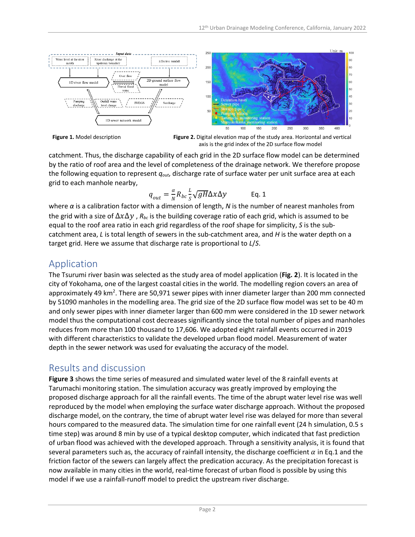



catchment. Thus, the discharge capability of each grid in the 2D surface flow model can be determined by the ratio of roof area and the level of completeness of the drainage network. We therefore propose the following equation to represent *qout*, discharge rate of surface water per unit surface area at each grid to each manhole nearby,

$$
q_{out} = \frac{\alpha}{N} R_{bc} \frac{L}{S} \sqrt{gH} \Delta x \Delta y
$$
 Eq. 1

where *α* is a calibration factor with a dimension of length, *N* is the number of nearest manholes from the grid with a size of  $\Delta x \Delta y$ ,  $R_{bc}$  is the building coverage ratio of each grid, which is assumed to be equal to the roof area ratio in each grid regardless of the roof shape for simplicity, *S* is the subcatchment area, *L* is total length of sewers in the sub-catchment area, and *H* is the water depth on a target grid. Here we assume that discharge rate is proportional to *L*/*S*.

# Application

The Tsurumi river basin was selected as the study area of model application (**Fig. 2**). It is located in the city of Yokohama, one of the largest coastal cities in the world. The modelling region covers an area of approximately 49 km<sup>2</sup>. There are 50,971 sewer pipes with inner diameter larger than 200 mm connected by 51090 manholes in the modelling area. The grid size of the 2D surface flow model was set to be 40 m and only sewer pipes with inner diameter larger than 600 mm were considered in the 1D sewer network model thus the computational cost decreases significantly since the total number of pipes and manholes reduces from more than 100 thousand to 17,606. We adopted eight rainfall events occurred in 2019 with different characteristics to validate the developed urban flood model. Measurement of water depth in the sewer network was used for evaluating the accuracy of the model.

## Results and discussion

**Figure 3** shows the time series of measured and simulated water level of the 8 rainfall events at Tarumachi monitoring station. The simulation accuracy was greatly improved by employing the proposed discharge approach for all the rainfall events. The time of the abrupt water level rise was well reproduced by the model when employing the surface water discharge approach. Without the proposed discharge model, on the contrary, the time of abrupt water level rise was delayed for more than several hours compared to the measured data. The simulation time for one rainfall event (24 h simulation, 0.5 s time step) was around 8 min by use of a typical desktop computer, which indicated that fast prediction of urban flood was achieved with the developed approach. Through a sensitivity analysis, it is found that several parameters such as, the accuracy of rainfall intensity, the discharge coefficient  $\alpha$  in Eq.1 and the friction factor of the sewers can largely affect the predication accuracy. As the precipitation forecast is now available in many cities in the world, real-time forecast of urban flood is possible by using this model if we use a rainfall-runoff model to predict the upstream river discharge.